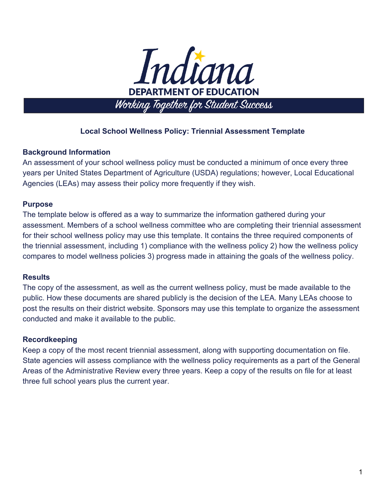

# **Local School Wellness Policy: Triennial Assessment Template**

## **Background Information**

An assessment of your school wellness policy must be conducted a minimum of once every three years per United States Department of Agriculture (USDA) regulations; however, Local Educational Agencies (LEAs) may assess their policy more frequently if they wish.

## **Purpose**

The template below is offered as a way to summarize the information gathered during your assessment. Members of a school wellness committee who are completing their triennial assessment for their school wellness policy may use this template. It contains the three required components of the triennial assessment, including 1) compliance with the wellness policy 2) how the wellness policy compares to model wellness policies 3) progress made in attaining the goals of the wellness policy.

### **Results**

The copy of the assessment, as well as the current wellness policy, must be made available to the public. How these documents are shared publicly is the decision of the LEA. Many LEAs choose to post the results on their district website. Sponsors may use this template to organize the assessment conducted and make it available to the public.

### **Recordkeeping**

Keep a copy of the most recent triennial assessment, along with supporting documentation on file. State agencies will assess compliance with the wellness policy requirements as a part of the General Areas of the Administrative Review every three years. Keep a copy of the results on file for at least three full school years plus the current year.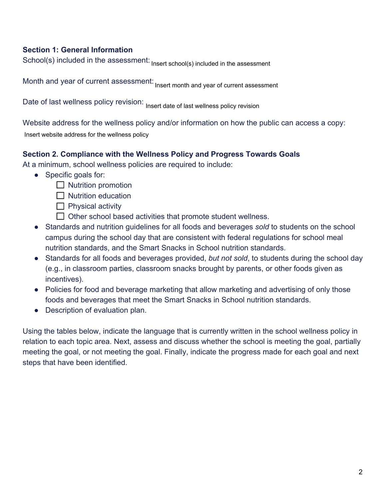## **Section 1: General Information**

School(s) included in the assessment: Paramount Englewood Middle School

Month and year of current assessment: August, 2020

Date of last wellness policy revision: August, 2019

Website address for the wellness policy and/or information on how the public can access a copy: Insert website address for the wellness policy

## **Section 2. Compliance with the Wellness Policy and Progress Towards Goals**

At a minimum, school wellness policies are required to include:

- Specific goals for:
	- $\Box$  Nutrition promotion
	- $\Box$  Nutrition education
	- $\Box$  Physical activity
	- $\Box$  Other school based activities that promote student wellness.
- Standards and nutrition guidelines for all foods and beverages *sold* to students on the school campus during the school day that are consistent with federal regulations for school meal nutrition standards, and the Smart Snacks in School nutrition standards.
- Standards for all foods and beverages provided, *but not sold*, to students during the school day (e.g., in classroom parties, classroom snacks brought by parents, or other foods given as incentives).
- Policies for food and beverage marketing that allow marketing and advertising of only those foods and beverages that meet the Smart Snacks in School nutrition standards.
- Description of evaluation plan.

Using the tables below, indicate the language that is currently written in the school wellness policy in relation to each topic area. Next, assess and discuss whether the school is meeting the goal, partially meeting the goal, or not meeting the goal. Finally, indicate the progress made for each goal and next steps that have been identified.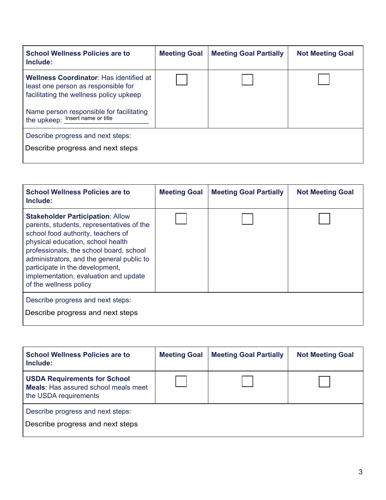| <b>School Wellness Policies are to</b><br>Include:                                                                                                                                                   | <b>Meeting Goal</b> | <b>Meeting Goal Partially</b> | <b>Not Meeting Goal</b> |  |  |
|------------------------------------------------------------------------------------------------------------------------------------------------------------------------------------------------------|---------------------|-------------------------------|-------------------------|--|--|
| Wellness Coordinator: Has identified at<br>least one person as responsible for<br>facilitating the wellness policy upkeep<br>Name person responsible for facilitating<br>the upkeep: Darius Sawyers, |                     |                               |                         |  |  |
| Describe progress and next steps:<br>Principal, Darius Saywers may provide designate if needed.                                                                                                      |                     |                               |                         |  |  |

| Wellness Coordinator: Has identified at<br>least one person as responsible for<br>facilitating the wellness policy upkeep                                                                                                                                                                                                                                     |                            |                               |                         |  |  |  |
|---------------------------------------------------------------------------------------------------------------------------------------------------------------------------------------------------------------------------------------------------------------------------------------------------------------------------------------------------------------|----------------------------|-------------------------------|-------------------------|--|--|--|
| Name person responsible for facilitating<br>the upkeep: Darius Sawyers,                                                                                                                                                                                                                                                                                       |                            |                               |                         |  |  |  |
| Describe progress and next steps:<br>Principal, Darius Saywers may provide designate if needed.                                                                                                                                                                                                                                                               |                            |                               |                         |  |  |  |
|                                                                                                                                                                                                                                                                                                                                                               |                            |                               |                         |  |  |  |
| <b>School Wellness Policies are to</b><br>Include:                                                                                                                                                                                                                                                                                                            | <b>Meeting Goal</b>        | <b>Meeting Goal Partially</b> | <b>Not Meeting Goal</b> |  |  |  |
| <b>Stakeholder Participation: Allow</b><br>parents, students, representatives of the<br>school food authority, teachers of<br>physical education, school health<br>professionals, the school board, school<br>administrators, and the general public to<br>participate in the development,<br>implementation, evaluation and update<br>of the wellness policy | $\boldsymbol{\mathcal{U}}$ |                               |                         |  |  |  |
| Describe progress and next steps:<br>The principal has assembled an advisory council of 12 people including board members,<br>administrators, staff, students, and parents.                                                                                                                                                                                   |                            |                               |                         |  |  |  |
|                                                                                                                                                                                                                                                                                                                                                               |                            |                               |                         |  |  |  |
| <b>School Wellness Policies are to</b><br>Include:                                                                                                                                                                                                                                                                                                            | <b>Meeting Goal</b>        | <b>Meeting Goal Partially</b> | <b>Not Meeting Goal</b> |  |  |  |
| <b>USDA Requirements for School</b><br>Meals: Has assured school meals meet<br>the USDA requirements                                                                                                                                                                                                                                                          | $\checkmark$               |                               |                         |  |  |  |
| Describe progress and next steps:<br>The food provider, Aramark, provides a monthly menu which is checked for it's nutritional value and<br>selction.                                                                                                                                                                                                         |                            |                               |                         |  |  |  |

| <b>School Wellness Policies are to</b><br>Include:                                                                                       | <b>Meeting Goal</b> | <b>Meeting Goal Partially</b> | <b>Not Meeting Goal</b> |
|------------------------------------------------------------------------------------------------------------------------------------------|---------------------|-------------------------------|-------------------------|
| <b>USDA Requirements for School</b><br><b>Meals:</b> Has assured school meals meet<br>the USDA requirements                              | $ \boldsymbol{v} $  |                               |                         |
| Describe progress and next steps:<br>The food provider, Aramark, provides a monthly menu which is checked for it's nutritional value and |                     |                               |                         |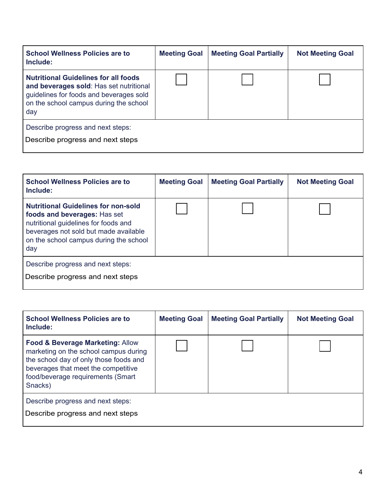| <b>School Wellness Policies are to</b><br>Include:                                                                                                                                 | <b>Meeting Goal</b> | <b>Meeting Goal Partially</b> | <b>Not Meeting Goal</b> |  |
|------------------------------------------------------------------------------------------------------------------------------------------------------------------------------------|---------------------|-------------------------------|-------------------------|--|
| <b>Nutritional Guidelines for all foods</b><br>and beverages sold: Has set nutritional<br>guidelines for foods and beverages sold<br>on the school campus during the school<br>day |                     |                               |                         |  |
| Describe progress and next steps:<br>Paramount Englewood Middle School does not sell food or beverages on campus during school<br>hours.                                           |                     |                               |                         |  |

| <b>Nutritional Guidelines for all foods</b><br>and beverages sold: Has set nutritional<br>guidelines for foods and beverages sold<br>on the school campus during the school<br>day                           |                     |                               |                         |  |  |  |
|--------------------------------------------------------------------------------------------------------------------------------------------------------------------------------------------------------------|---------------------|-------------------------------|-------------------------|--|--|--|
| Describe progress and next steps:<br>Paramount Englewood Middle School does not sell food or beverages on campus during school<br>hours.                                                                     |                     |                               |                         |  |  |  |
|                                                                                                                                                                                                              |                     |                               |                         |  |  |  |
| <b>School Wellness Policies are to</b><br>Include:                                                                                                                                                           | <b>Meeting Goal</b> | <b>Meeting Goal Partially</b> | <b>Not Meeting Goal</b> |  |  |  |
| <b>Nutritional Guidelines for non-sold</b><br>foods and beverages: Has set<br>nutritional guidelines for foods and<br>beverages not sold but made available<br>on the school campus during the school<br>day | V                   |                               |                         |  |  |  |
| Describe progress and next steps:<br>Items brought in to the school during school hours for classroom celebrations, must meet all<br>nutritional guidelines.                                                 |                     |                               |                         |  |  |  |
|                                                                                                                                                                                                              |                     |                               |                         |  |  |  |
| <b>School Wellness Policies are to</b><br>Include:                                                                                                                                                           | <b>Meeting Goal</b> | <b>Meeting Goal Partially</b> | <b>Not Meeting Goal</b> |  |  |  |
| Food & Beverage Marketing: Allow<br>marketing on the school campus during<br>the school day of only those foods and<br>beverages that meet the competitive<br>food/beverage requirements (Smart<br>Snacks)   |                     |                               |                         |  |  |  |
| Describe progress and next steps:<br>Paramount Englewood does not provide students with Smart Snacks. No other food is provided to<br>students during the day except for breakfast and lunch.                |                     |                               |                         |  |  |  |

| <b>School Wellness Policies are to</b><br>Include:                                                                                                                                                         | <b>Meeting Goal</b> | <b>Meeting Goal Partially</b> | <b>Not Meeting Goal</b> |  |
|------------------------------------------------------------------------------------------------------------------------------------------------------------------------------------------------------------|---------------------|-------------------------------|-------------------------|--|
| Food & Beverage Marketing: Allow<br>marketing on the school campus during<br>the school day of only those foods and<br>beverages that meet the competitive<br>food/beverage requirements (Smart<br>Snacks) |                     |                               |                         |  |
| Describe progress and next steps:                                                                                                                                                                          |                     |                               |                         |  |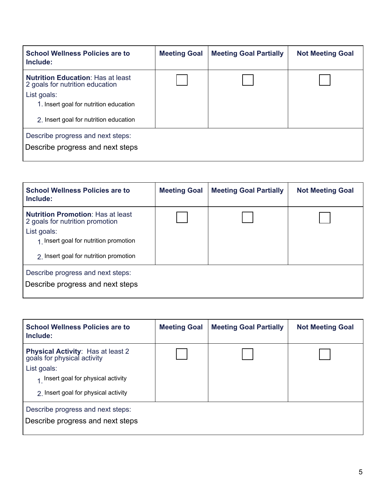| <b>School Wellness Policies are to</b><br>Include:                                                                                                                 | <b>Meeting Goal</b>        | <b>Meeting Goal Partially</b> | <b>Not Meeting Goal</b> |  |
|--------------------------------------------------------------------------------------------------------------------------------------------------------------------|----------------------------|-------------------------------|-------------------------|--|
| <b>Nutrition Education: Has at least</b><br>2 goals for nutrition education<br>List goals:<br>$\frac{3}{1}$ Health education<br><sub>2</sub> Nutritional promotion | $\boldsymbol{\mathcal{U}}$ |                               |                         |  |
| Describe progress and next steps:                                                                                                                                  |                            |                               |                         |  |

| <b>Nutrition Education:</b> Has at least<br>2 goals for nutrition education                                                                                                                                                                 |                                                                                                |                               |                         |  |  |  |
|---------------------------------------------------------------------------------------------------------------------------------------------------------------------------------------------------------------------------------------------|------------------------------------------------------------------------------------------------|-------------------------------|-------------------------|--|--|--|
| List goals:<br>$\tilde{1}$ Health education                                                                                                                                                                                                 |                                                                                                |                               |                         |  |  |  |
| <sub>2</sub> Nutritional promotion                                                                                                                                                                                                          |                                                                                                |                               |                         |  |  |  |
| Describe progress and next steps:<br>The school's curriculum includes lessons on nutritional information for teachers and staff for all<br>grade levels. Lessons include how to read labels, choosing healthy options, and portion control. |                                                                                                |                               |                         |  |  |  |
|                                                                                                                                                                                                                                             |                                                                                                |                               |                         |  |  |  |
| <b>School Wellness Policies are to</b><br>Include:                                                                                                                                                                                          | <b>Meeting Goal</b>                                                                            | <b>Meeting Goal Partially</b> | <b>Not Meeting Goal</b> |  |  |  |
| <b>Nutrition Promotion: Has at least</b><br>2 goals for nutrition promotion                                                                                                                                                                 |                                                                                                |                               |                         |  |  |  |
| List goals:<br>$\bar{1}$ Using outside resources                                                                                                                                                                                            |                                                                                                |                               |                         |  |  |  |
| 2 Marketing/advertising                                                                                                                                                                                                                     |                                                                                                |                               |                         |  |  |  |
| Describe progress and next steps:<br>Outside resources provide opportunities for student projects related to nutrition. Promotional<br>material such as hand-outs are provided to students and families.                                    |                                                                                                |                               |                         |  |  |  |
|                                                                                                                                                                                                                                             |                                                                                                |                               |                         |  |  |  |
| <b>School Wellness Policies are to</b><br>Include:                                                                                                                                                                                          | <b>Meeting Goal</b>                                                                            | <b>Meeting Goal Partially</b> | <b>Not Meeting Goal</b> |  |  |  |
| Physical Activity: Has at least 2<br>goals for physical activity                                                                                                                                                                            |                                                                                                |                               |                         |  |  |  |
| List goals:                                                                                                                                                                                                                                 |                                                                                                |                               |                         |  |  |  |
| 1.                                                                                                                                                                                                                                          |                                                                                                |                               |                         |  |  |  |
| 2.                                                                                                                                                                                                                                          |                                                                                                |                               |                         |  |  |  |
| Describe progress and next steps:                                                                                                                                                                                                           | All student receive 20 minutes of outside recess. Throughout the day teachers provide students |                               |                         |  |  |  |
| with "brain breaks" which may include stretching, yoga, or walking outside.                                                                                                                                                                 |                                                                                                |                               |                         |  |  |  |

| <b>School Wellness Policies are to</b><br>Include:                                  | <b>Meeting Goal</b> | <b>Meeting Goal Partially</b> | <b>Not Meeting Goal</b> |
|-------------------------------------------------------------------------------------|---------------------|-------------------------------|-------------------------|
| <b>Physical Activity:</b> Has at least 2 goals for physical activity<br>List goals: |                     |                               |                         |
| 2.                                                                                  |                     |                               |                         |
|                                                                                     |                     |                               |                         |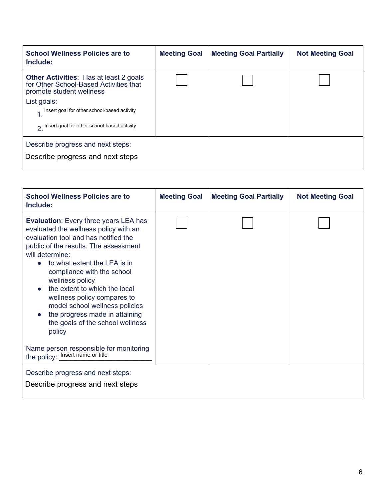| <b>School Wellness Policies are to</b><br>Include:                                                                  | <b>Meeting Goal</b> | <b>Meeting Goal Partially</b> | <b>Not Meeting Goal</b> |
|---------------------------------------------------------------------------------------------------------------------|---------------------|-------------------------------|-------------------------|
| <b>Other Activities: Has at least 2 goals</b><br>for Other School-Based Activities that<br>promote student wellness |                     |                               |                         |
| List goals:                                                                                                         |                     |                               |                         |
| 1.                                                                                                                  |                     |                               |                         |
| 2.                                                                                                                  |                     |                               |                         |
| Describe progress and next steps:                                                                                   |                     |                               |                         |
|                                                                                                                     |                     |                               |                         |

| <b>School Wellness Policies are to</b><br>Include:                                                                                                                                                                                                                                                                                                                                                                                                                                     | <b>Meeting Goal</b> | <b>Meeting Goal Partially</b> | <b>Not Meeting Goal</b> |
|----------------------------------------------------------------------------------------------------------------------------------------------------------------------------------------------------------------------------------------------------------------------------------------------------------------------------------------------------------------------------------------------------------------------------------------------------------------------------------------|---------------------|-------------------------------|-------------------------|
| <b>Evaluation:</b> Every three years LEA has<br>evaluated the wellness policy with an<br>evaluation tool and has notified the<br>public of the results. The assessment<br>will determine:<br>to what extent the LEA is in<br>compliance with the school<br>wellness policy<br>the extent to which the local<br>$\bullet$<br>wellness policy compares to<br>model school wellness policies<br>the progress made in attaining<br>$\bullet$<br>the goals of the school wellness<br>policy |                     |                               |                         |
| Name person responsible for monitoring<br>the policy: the policy:                                                                                                                                                                                                                                                                                                                                                                                                                      |                     |                               |                         |
| Describe progress and next steps:                                                                                                                                                                                                                                                                                                                                                                                                                                                      |                     |                               |                         |